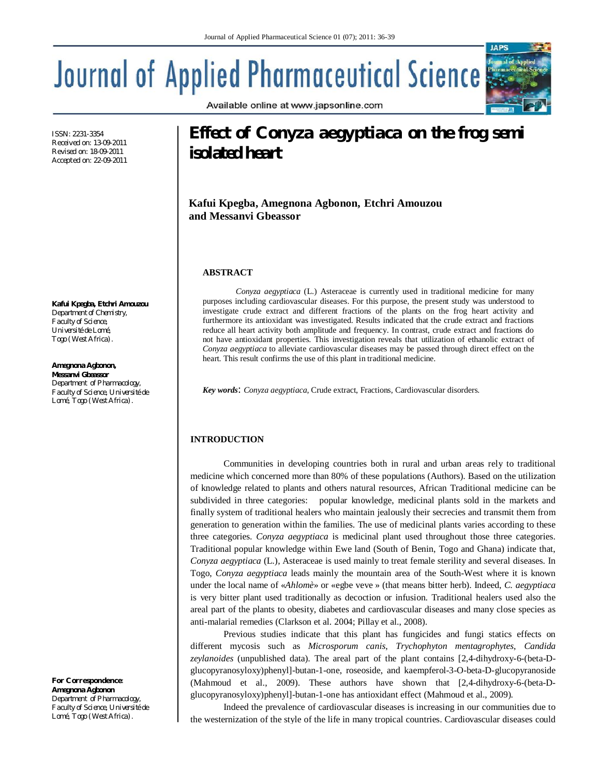Available online at www.japsonline.com

# Journal of Applied Pharmaceutical Science

ISSN: 2231-3354 Received on: 13-09-2011 Revised on: 18-09-2011 Accepted on: 22-09-2011

**Kafui Kpegba, Etchri Amouzou** *Department of Chemistry, Faculty of Science, Université de Lomé, Togo (West Africa).*

**Amegnona Agbonon, Messanvi Gbeassor** *Department of Pharmacology, Faculty of Science, Université de Lomé, Togo (West Africa).*

*For Correspondence:*  **Amegnona Agbonon** *Department of Pharmacology, Faculty of Science, Université de Lomé, Togo (West Africa).*

# **Effect of** *Conyza aegyptiaca* **on the frog semi isolated heart**

**Kafui Kpegba, Amegnona Agbonon, Etchri Amouzou and Messanvi Gbeassor**

# **ABSTRACT**

*Conyza aegyptiaca* (L.) Asteraceae is currently used in traditional medicine for many purposes including cardiovascular diseases. For this purpose, the present study was understood to investigate crude extract and different fractions of the plants on the frog heart activity and furthermore its antioxidant was investigated. Results indicated that the crude extract and fractions reduce all heart activity both amplitude and frequency. In contrast, crude extract and fractions do not have antioxidant properties. This investigation reveals that utilization of ethanolic extract of *Conyza aegyptiaca* to alleviate cardiovascular diseases may be passed through direct effect on the heart. This result confirms the use of this plant in traditional medicine.

*Key words*: *Conyza aegyptiaca*, Crude extract, Fractions, Cardiovascular disorders.

# **INTRODUCTION**

Communities in developing countries both in rural and urban areas rely to traditional medicine which concerned more than 80% of these populations (Authors). Based on the utilization of knowledge related to plants and others natural resources, African Traditional medicine can be subdivided in three categories: popular knowledge, medicinal plants sold in the markets and finally system of traditional healers who maintain jealously their secrecies and transmit them from generation to generation within the families. The use of medicinal plants varies according to these three categories. *Conyza aegyptiaca* is medicinal plant used throughout those three categories. Traditional popular knowledge within Ewe land (South of Benin, Togo and Ghana) indicate that, *Conyza aegyptiaca* (L.), Asteraceae is used mainly to treat female sterility and several diseases. In Togo, *Conyza aegyptiaca* leads mainly the mountain area of the South-West where it is known under the local name of «*Ahlomè*» or «egbe veve » (that means bitter herb). Indeed, *C. aegyptiaca* is very bitter plant used traditionally as decoction or infusion. Traditional healers used also the areal part of the plants to obesity, diabetes and cardiovascular diseases and many close species as anti-malarial remedies (Clarkson et al. 2004; Pillay et al., 2008).

Previous studies indicate that this plant has fungicides and fungi statics effects on different mycosis such as *Microsporum canis*, *Trychophyton mentagrophytes*, *Candida zeylanoides* (unpublished data). The areal part of the plant contains [2,4-dihydroxy-6-(beta-Dglucopyranosyloxy)phenyl]-butan-1-one, roseoside, and kaempferol-3-O-beta-D-glucopyranoside (Mahmoud et al., 2009). These authors have shown that [2,4-dihydroxy-6-(beta-Dglucopyranosyloxy)phenyl]-butan-1-one has antioxidant effect (Mahmoud et al., 2009).

Indeed the prevalence of cardiovascular diseases is increasing in our communities due to the westernization of the style of the life in many tropical countries. Cardiovascular diseases could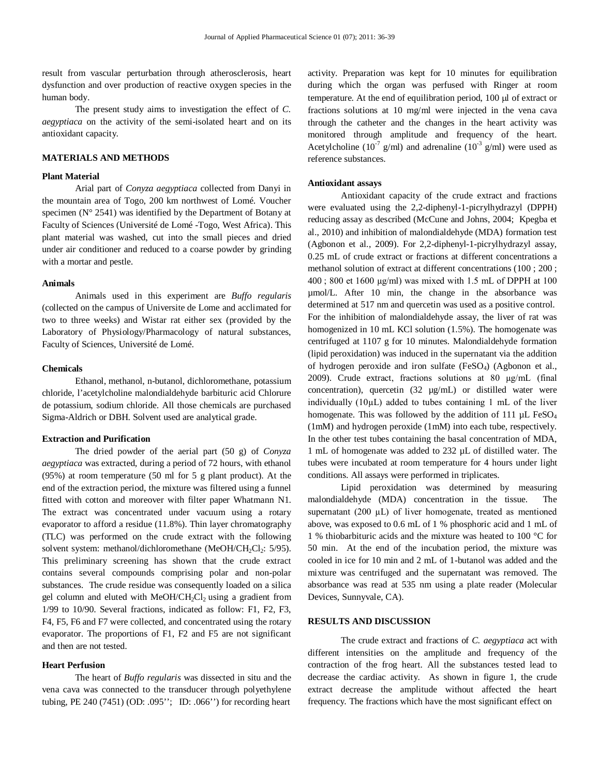result from vascular perturbation through atherosclerosis, heart dysfunction and over production of reactive oxygen species in the human body.

The present study aims to investigation the effect of *C. aegyptiaca* on the activity of the semi-isolated heart and on its antioxidant capacity.

# **MATERIALS AND METHODS**

# **Plant Material**

Arial part of *Conyza aegyptiaca* collected from Danyi in the mountain area of Togo, 200 km northwest of Lomé. Voucher specimen ( $N^{\circ}$  2541) was identified by the Department of Botany at Faculty of Sciences (Université de Lomé -Togo, West Africa). This plant material was washed, cut into the small pieces and dried under air conditioner and reduced to a coarse powder by grinding with a mortar and pestle.

# **Animals**

Animals used in this experiment are *Buffo regularis* (collected on the campus of Universite de Lome and acclimated for two to three weeks) and Wistar rat either sex (provided by the Laboratory of Physiology/Pharmacology of natural substances, Faculty of Sciences, Université de Lomé.

#### **Chemicals**

Ethanol, methanol, n-butanol, dichloromethane, potassium chloride, l'acetylcholine malondialdehyde barbituric acid Chlorure de potassium, sodium chloride. All those chemicals are purchased Sigma-Aldrich or DBH. Solvent used are analytical grade.

# **Extraction and Purification**

The dried powder of the aerial part (50 g) of *Conyza aegyptiaca* was extracted, during a period of 72 hours, with ethanol (95%) at room temperature (50 ml for 5 g plant product). At the end of the extraction period, the mixture was filtered using a funnel fitted with cotton and moreover with filter paper Whatmann N1. The extract was concentrated under vacuum using a rotary evaporator to afford a residue (11.8%). Thin layer chromatography (TLC) was performed on the crude extract with the following solvent system: methanol/dichloromethane (MeOH/CH<sub>2</sub>Cl<sub>2</sub>: 5/95). This preliminary screening has shown that the crude extract contains several compounds comprising polar and non-polar substances. The crude residue was consequently loaded on a silica gel column and eluted with  $MeOH/CH_2Cl_2$  using a gradient from 1/99 to 10/90. Several fractions, indicated as follow: F1, F2, F3, F4, F5, F6 and F7 were collected, and concentrated using the rotary evaporator. The proportions of F1, F2 and F5 are not significant and then are not tested.

### **Heart Perfusion**

The heart of *Buffo regularis* was dissected in situ and the vena cava was connected to the transducer through polyethylene tubing, PE 240 (7451) (OD: .095''; ID: .066'') for recording heart

activity. Preparation was kept for 10 minutes for equilibration during which the organ was perfused with Ringer at room temperature. At the end of equilibration period,  $100 \mu$  of extract or fractions solutions at 10 mg/ml were injected in the vena cava through the catheter and the changes in the heart activity was monitored through amplitude and frequency of the heart. Acetylcholine ( $10^{-7}$  g/ml) and adrenaline ( $10^{-3}$  g/ml) were used as reference substances.

# **Antioxidant assays**

Antioxidant capacity of the crude extract and fractions were evaluated using the 2,2-diphenyl-1-picrylhydrazyl (DPPH) reducing assay as described (McCune and Johns, 2004; Kpegba et al., 2010) and inhibition of malondialdehyde (MDA) formation test (Agbonon et al., 2009). For 2,2-diphenyl-1-picrylhydrazyl assay, 0.25 mL of crude extract or fractions at different concentrations a methanol solution of extract at different concentrations (100 ; 200 ;  $400$ ; 800 et 1600  $\mu$ g/ml) was mixed with 1.5 mL of DPPH at 100 µmol/L. After 10 min, the change in the absorbance was determined at 517 nm and quercetin was used as a positive control. For the inhibition of malondialdehyde assay, the liver of rat was homogenized in 10 mL KCl solution (1.5%). The homogenate was centrifuged at 1107 g for 10 minutes. Malondialdehyde formation (lipid peroxidation) was induced in the supernatant via the addition of hydrogen peroxide and iron sulfate (FeSO<sub>4</sub>) (Agbonon et al., 2009). Crude extract, fractions solutions at 80 µg/mL (final concentration), quercetin  $(32 \text{ µg/mL})$  or distilled water were individually (10µL) added to tubes containing 1 mL of the liver homogenate. This was followed by the addition of 111  $\mu$ L FeSO<sub>4</sub> (1mM) and hydrogen peroxide (1mM) into each tube, respectively. In the other test tubes containing the basal concentration of MDA, 1 mL of homogenate was added to 232 µL of distilled water. The tubes were incubated at room temperature for 4 hours under light conditions. All assays were performed in triplicates.

Lipid peroxidation was determined by measuring malondialdehyde (MDA) concentration in the tissue. The supernatant (200 µL) of liver homogenate, treated as mentioned above, was exposed to 0.6 mL of 1 % phosphoric acid and 1 mL of 1 % thiobarbituric acids and the mixture was heated to 100 °C for 50 min. At the end of the incubation period, the mixture was cooled in ice for 10 min and 2 mL of 1-butanol was added and the mixture was centrifuged and the supernatant was removed. The absorbance was read at 535 nm using a plate reader (Molecular Devices, Sunnyvale, CA).

# **RESULTS AND DISCUSSION**

The crude extract and fractions of *C. aegyptiaca* act with different intensities on the amplitude and frequency of the contraction of the frog heart. All the substances tested lead to decrease the cardiac activity. As shown in figure 1, the crude extract decrease the amplitude without affected the heart frequency. The fractions which have the most significant effect on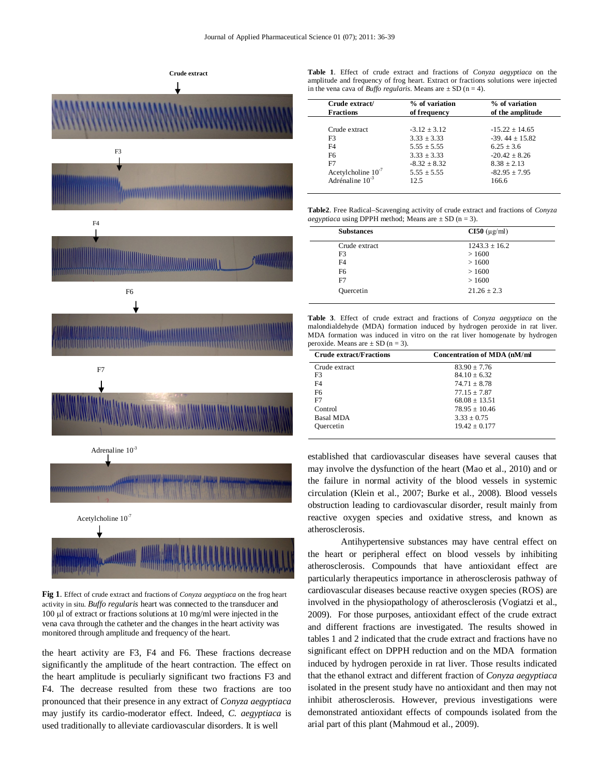

**Fig 1**. Effect of crude extract and fractions of *Conyza aegyptiaca* on the frog heart activity in situ. *Buffo regularis* heart was connected to the transducer and 100  $\mu$ l of extract or fractions solutions at 10 mg/ml were injected in the vena cava through the catheter and the changes in the heart activity was monitored through amplitude and frequency of the heart.

the heart activity are F3, F4 and F6. These fractions decrease significantly the amplitude of the heart contraction. The effect on the heart amplitude is peculiarly significant two fractions F3 and F4. The decrease resulted from these two fractions are too pronounced that their presence in any extract of *Conyza aegyptiaca* may justify its cardio-moderator effect. Indeed, *C. aegyptiaca* is used traditionally to alleviate cardiovascular disorders. It is well

**Table 1**. Effect of crude extract and fractions of *Conyza aegyptiaca* on the amplitude and frequency of frog heart. Extract or fractions solutions were injected in the vena cava of *Buffo regularis*. Means are  $\pm$  SD (n = 4).

| Crude extract/<br><b>Fractions</b> | % of variation<br>of frequency | % of variation<br>of the amplitude |
|------------------------------------|--------------------------------|------------------------------------|
| Crude extract                      | $-3.12 + 3.12$                 | $-15.22 + 14.65$                   |
| F <sub>3</sub>                     | $3.33 + 3.33$                  | $-39.44 + 15.82$                   |
|                                    |                                |                                    |
| F <sub>4</sub>                     | $5.55 + 5.55$                  | $6.25 + 3.6$                       |
| F6                                 | $3.33 + 3.33$                  | $-20.42 + 8.26$                    |
| F7                                 | $-8.32 \pm 8.32$               | $8.38 + 2.13$                      |
| Acetylcholine $10^{-7}$            | $5.55 \pm 5.55$                | $-82.95 \pm 7.95$                  |
| Adrénaline $10^{-3}$               | 12.5                           | 166.6                              |

**Table2**. Free Radical–Scavenging activity of crude extract and fractions of *Conyza aegyptiaca* using DPPH method; Means are  $\pm$  SD (n = 3).

| $CI50 \ (\mu g/ml)$ |
|---------------------|
| $1243.3 \pm 16.2$   |
| >1600               |
| >1600               |
| >1600               |
| >1600               |
| $21.26 + 2.3$       |
|                     |

**Table 3**. Effect of crude extract and fractions of *Conyza aegyptiaca* on the malondialdehyde (MDA) formation induced by hydrogen peroxide in rat liver. MDA formation was induced in vitro on the rat liver homogenate by hydrogen peroxide. Means are  $\pm$  SD (n = 3).

| <b>Crude extract/Fractions</b> | <b>Concentration of MDA (nM/ml</b> |
|--------------------------------|------------------------------------|
| Crude extract                  | $83.90 \pm 7.76$                   |
| F3                             | $84.10 + 6.32$                     |
| F4                             | $74.71 + 8.78$                     |
| F6                             | $77.15 + 7.87$                     |
| F7                             | $68.08 + 13.51$                    |
| Control                        | $78.95 + 10.46$                    |
| <b>Basal MDA</b>               | $3.33 + 0.75$                      |
| Quercetin                      | $19.42 + 0.177$                    |

established that cardiovascular diseases have several causes that may involve the dysfunction of the heart (Mao et al., 2010) and or the failure in normal activity of the blood vessels in systemic circulation (Klein et al., 2007; Burke et al., 2008). Blood vessels obstruction leading to cardiovascular disorder, result mainly from reactive oxygen species and oxidative stress, and known as atherosclerosis.

Antihypertensive substances may have central effect on the heart or peripheral effect on blood vessels by inhibiting atherosclerosis. Compounds that have antioxidant effect are particularly therapeutics importance in atherosclerosis pathway of cardiovascular diseases because reactive oxygen species (ROS) are involved in the physiopathology of atherosclerosis (Vogiatzi et al., 2009). For those purposes, antioxidant effect of the crude extract and different fractions are investigated. The results showed in tables 1 and 2 indicated that the crude extract and fractions have no significant effect on DPPH reduction and on the MDA formation induced by hydrogen peroxide in rat liver. Those results indicated that the ethanol extract and different fraction of *Conyza aegyptiaca* isolated in the present study have no antioxidant and then may not inhibit atherosclerosis. However, previous investigations were demonstrated antioxidant effects of compounds isolated from the arial part of this plant (Mahmoud et al., 2009).